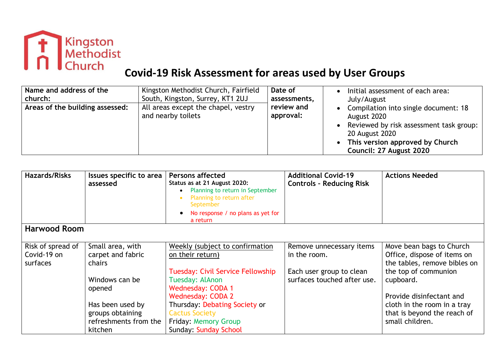

# **Covid-19 Risk Assessment for areas used by User Groups**

| Name and address of the         | Kingston Methodist Church, Fairfield                      | Date of                 | Initial assessment of each area:                                                                                                                                                 |
|---------------------------------|-----------------------------------------------------------|-------------------------|----------------------------------------------------------------------------------------------------------------------------------------------------------------------------------|
| church:                         | South, Kingston, Surrey, KT1 2UJ                          | assessments,            | July/August                                                                                                                                                                      |
| Areas of the building assessed: | All areas except the chapel, vestry<br>and nearby toilets | review and<br>approval: | Compilation into single document: 18<br>August 2020<br>Reviewed by risk assessment task group:  <br>20 August 2020<br>This version approved by Church<br>Council: 27 August 2020 |

| <b>Hazards/Risks</b> | Issues specific to area<br>assessed | <b>Persons affected</b><br>Status as at 21 August 2020:<br>Planning to return in September<br>Planning to return after<br>September<br>No response / no plans as yet for<br>a return | <b>Additional Covid-19</b><br><b>Controls - Reducing Risk</b> | <b>Actions Needed</b>        |
|----------------------|-------------------------------------|--------------------------------------------------------------------------------------------------------------------------------------------------------------------------------------|---------------------------------------------------------------|------------------------------|
| <b>Harwood Room</b>  |                                     |                                                                                                                                                                                      |                                                               |                              |
| Risk of spread of    | Small area, with                    | Weekly (subject to confirmation                                                                                                                                                      | Remove unnecessary items                                      | Move bean bags to Church     |
| Covid-19 on          | carpet and fabric                   | on their return)                                                                                                                                                                     | in the room.                                                  | Office, dispose of items on  |
| surfaces             | chairs                              |                                                                                                                                                                                      |                                                               | the tables, remove bibles on |
|                      |                                     | Tuesday: Civil Service Fellowship                                                                                                                                                    | Each user group to clean                                      | the top of communion         |
|                      | Windows can be                      | Tuesday: AlAnon                                                                                                                                                                      | surfaces touched after use.                                   | cupboard.                    |
|                      | opened                              | <b>Wednesday: CODA 1</b>                                                                                                                                                             |                                                               |                              |
|                      |                                     | <b>Wednesday: CODA 2</b>                                                                                                                                                             |                                                               | Provide disinfectant and     |
|                      | Has been used by                    | Thursday: Debating Society or                                                                                                                                                        |                                                               | cloth in the room in a tray  |
|                      | groups obtaining                    | <b>Cactus Society</b>                                                                                                                                                                |                                                               | that is beyond the reach of  |
|                      | refreshments from the               | Friday: Memory Group                                                                                                                                                                 |                                                               | small children.              |
|                      | kitchen                             | <b>Sunday: Sunday School</b>                                                                                                                                                         |                                                               |                              |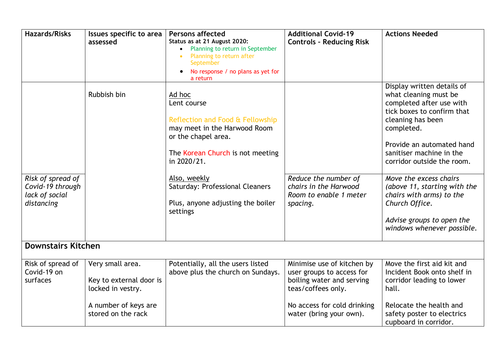| <b>Hazards/Risks</b>                                                  | Issues specific to area<br>assessed                              | <b>Persons affected</b><br>Status as at 21 August 2020:<br>Planning to return in September<br>Planning to return after<br>September<br>No response / no plans as yet for<br>a return                                                                                    | <b>Additional Covid-19</b><br><b>Controls - Reducing Risk</b>                                              | <b>Actions Needed</b>                                                                                                                                                                                                                                                                                                                                                                                      |
|-----------------------------------------------------------------------|------------------------------------------------------------------|-------------------------------------------------------------------------------------------------------------------------------------------------------------------------------------------------------------------------------------------------------------------------|------------------------------------------------------------------------------------------------------------|------------------------------------------------------------------------------------------------------------------------------------------------------------------------------------------------------------------------------------------------------------------------------------------------------------------------------------------------------------------------------------------------------------|
| Risk of spread of<br>Covid-19 through<br>lack of social<br>distancing | Rubbish bin                                                      | Ad hoc<br>Lent course<br>Reflection and Food & Fellowship<br>may meet in the Harwood Room<br>or the chapel area.<br>The Korean Church is not meeting<br>in 2020/21.<br>Also, weekly<br>Saturday: Professional Cleaners<br>Plus, anyone adjusting the boiler<br>settings | Reduce the number of<br>chairs in the Harwood<br>Room to enable 1 meter<br>spacing.                        | Display written details of<br>what cleaning must be<br>completed after use with<br>tick boxes to confirm that<br>cleaning has been<br>completed.<br>Provide an automated hand<br>sanitiser machine in the<br>corridor outside the room.<br>Move the excess chairs<br>(above 11, starting with the<br>chairs with arms) to the<br>Church Office.<br>Advise groups to open the<br>windows whenever possible. |
| <b>Downstairs Kitchen</b>                                             |                                                                  |                                                                                                                                                                                                                                                                         |                                                                                                            |                                                                                                                                                                                                                                                                                                                                                                                                            |
| Risk of spread of<br>Covid-19 on<br>surfaces                          | Very small area.<br>Key to external door is<br>locked in vestry. | Potentially, all the users listed<br>above plus the church on Sundays.                                                                                                                                                                                                  | Minimise use of kitchen by<br>user groups to access for<br>boiling water and serving<br>teas/coffees only. | Move the first aid kit and<br>Incident Book onto shelf in<br>corridor leading to lower<br>hall.                                                                                                                                                                                                                                                                                                            |
|                                                                       | A number of keys are<br>stored on the rack                       |                                                                                                                                                                                                                                                                         | No access for cold drinking<br>water (bring your own).                                                     | Relocate the health and<br>safety poster to electrics<br>cupboard in corridor.                                                                                                                                                                                                                                                                                                                             |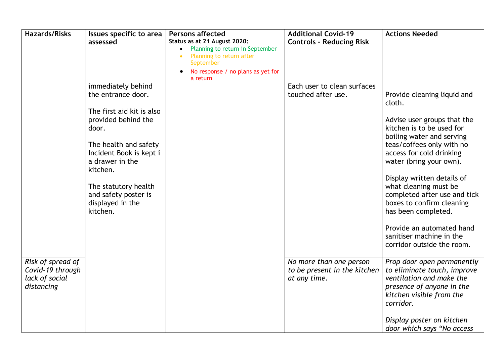| <b>Hazards/Risks</b>                                                  | Issues specific to area<br>assessed                                                                                                                                                                                                                                      | <b>Persons affected</b><br>Status as at 21 August 2020:<br>Planning to return in September<br>Planning to return after<br>September<br>No response / no plans as yet for<br>a return | <b>Additional Covid-19</b><br><b>Controls - Reducing Risk</b>           | <b>Actions Needed</b>                                                                                                                                                                                                                                                                                                                                                                                                                                |
|-----------------------------------------------------------------------|--------------------------------------------------------------------------------------------------------------------------------------------------------------------------------------------------------------------------------------------------------------------------|--------------------------------------------------------------------------------------------------------------------------------------------------------------------------------------|-------------------------------------------------------------------------|------------------------------------------------------------------------------------------------------------------------------------------------------------------------------------------------------------------------------------------------------------------------------------------------------------------------------------------------------------------------------------------------------------------------------------------------------|
|                                                                       | immediately behind<br>the entrance door.<br>The first aid kit is also<br>provided behind the<br>door.<br>The health and safety<br>Incident Book is kept i<br>a drawer in the<br>kitchen.<br>The statutory health<br>and safety poster is<br>displayed in the<br>kitchen. |                                                                                                                                                                                      | Each user to clean surfaces<br>touched after use.                       | Provide cleaning liquid and<br>cloth.<br>Advise user groups that the<br>kitchen is to be used for<br>boiling water and serving<br>teas/coffees only with no<br>access for cold drinking<br>water (bring your own).<br>Display written details of<br>what cleaning must be<br>completed after use and tick<br>boxes to confirm cleaning<br>has been completed.<br>Provide an automated hand<br>sanitiser machine in the<br>corridor outside the room. |
| Risk of spread of<br>Covid-19 through<br>lack of social<br>distancing |                                                                                                                                                                                                                                                                          |                                                                                                                                                                                      | No more than one person<br>to be present in the kitchen<br>at any time. | Prop door open permanently<br>to eliminate touch, improve<br>ventilation and make the<br>presence of anyone in the<br>kitchen visible from the<br>corridor.<br>Display poster on kitchen<br>door which says "No access                                                                                                                                                                                                                               |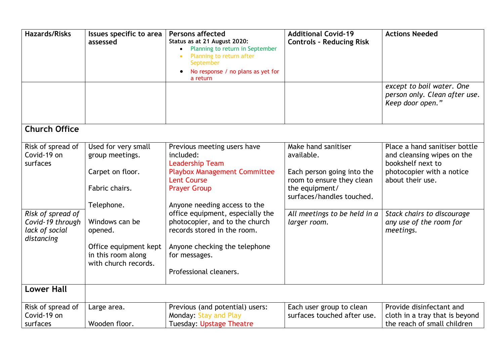| <b>Hazards/Risks</b>                                                  | Issues specific to area<br>assessed                                                              | <b>Persons affected</b><br>Status as at 21 August 2020:<br>Planning to return in September<br>Planning to return after<br>September<br>No response / no plans as yet for<br>a return | <b>Additional Covid-19</b><br><b>Controls - Reducing Risk</b>             | <b>Actions Needed</b><br>except to boil water. One<br>person only. Clean after use.<br>Keep door open." |
|-----------------------------------------------------------------------|--------------------------------------------------------------------------------------------------|--------------------------------------------------------------------------------------------------------------------------------------------------------------------------------------|---------------------------------------------------------------------------|---------------------------------------------------------------------------------------------------------|
| <b>Church Office</b>                                                  |                                                                                                  |                                                                                                                                                                                      |                                                                           |                                                                                                         |
| Risk of spread of<br>Covid-19 on<br>surfaces                          | Used for very small<br>group meetings.                                                           | Previous meeting users have<br>included:<br><b>Leadership Team</b>                                                                                                                   | Make hand sanitiser<br>available.                                         | Place a hand sanitiser bottle<br>and cleansing wipes on the<br>bookshelf next to                        |
|                                                                       | Carpet on floor.<br>Fabric chairs.                                                               | <b>Playbox Management Committee</b><br><b>Lent Course</b><br><b>Prayer Group</b>                                                                                                     | Each person going into the<br>room to ensure they clean<br>the equipment/ | photocopier with a notice<br>about their use.                                                           |
|                                                                       | Telephone.                                                                                       | Anyone needing access to the                                                                                                                                                         | surfaces/handles touched.                                                 |                                                                                                         |
| Risk of spread of<br>Covid-19 through<br>lack of social<br>distancing | Windows can be<br>opened.<br>Office equipment kept<br>in this room along<br>with church records. | office equipment, especially the<br>photocopier, and to the church<br>records stored in the room.<br>Anyone checking the telephone<br>for messages.<br>Professional cleaners.        | All meetings to be held in a<br>larger room.                              | Stack chairs to discourage<br>any use of the room for<br>meetings.                                      |
| <b>Lower Hall</b>                                                     |                                                                                                  |                                                                                                                                                                                      |                                                                           |                                                                                                         |
| Risk of spread of<br>Covid-19 on<br>surfaces                          | Large area.<br>Wooden floor.                                                                     | Previous (and potential) users:<br>Monday: Stay and Play<br><b>Tuesday: Upstage Theatre</b>                                                                                          | Each user group to clean<br>surfaces touched after use.                   | Provide disinfectant and<br>cloth in a tray that is beyond<br>the reach of small children               |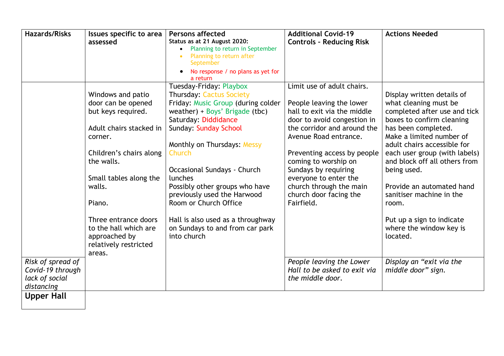| <b>Hazards/Risks</b> | Issues specific to area | <b>Persons affected</b>                                         | <b>Additional Covid-19</b>      | <b>Actions Needed</b>         |
|----------------------|-------------------------|-----------------------------------------------------------------|---------------------------------|-------------------------------|
|                      | assessed                | Status as at 21 August 2020:<br>Planning to return in September | <b>Controls - Reducing Risk</b> |                               |
|                      |                         | Planning to return after                                        |                                 |                               |
|                      |                         | September                                                       |                                 |                               |
|                      |                         | No response / no plans as yet for<br>a return                   |                                 |                               |
|                      |                         | Tuesday-Friday: Playbox                                         | Limit use of adult chairs.      |                               |
|                      | Windows and patio       | <b>Thursday: Cactus Society</b>                                 |                                 | Display written details of    |
|                      | door can be opened      | Friday: Music Group (during colder                              | People leaving the lower        | what cleaning must be         |
|                      | but keys required.      | weather) + Boys' Brigade (tbc)                                  | hall to exit via the middle     | completed after use and tick  |
|                      |                         | Saturday: Diddidance                                            | door to avoid congestion in     | boxes to confirm cleaning     |
|                      | Adult chairs stacked in | <b>Sunday: Sunday School</b>                                    | the corridor and around the     | has been completed.           |
|                      | corner.                 |                                                                 | Avenue Road entrance.           | Make a limited number of      |
|                      |                         | Monthly on Thursdays: Messy                                     |                                 | adult chairs accessible for   |
|                      | Children's chairs along | Church                                                          | Preventing access by people     | each user group (with labels) |
|                      | the walls.              |                                                                 | coming to worship on            | and block off all others from |
|                      |                         | Occasional Sundays - Church                                     | Sundays by requiring            | being used.                   |
|                      | Small tables along the  | lunches                                                         | everyone to enter the           |                               |
|                      | walls.                  | Possibly other groups who have                                  | church through the main         | Provide an automated hand     |
|                      |                         | previously used the Harwood                                     | church door facing the          | sanitiser machine in the      |
|                      | Piano.                  | Room or Church Office                                           | Fairfield.                      | room.                         |
|                      | Three entrance doors    | Hall is also used as a throughway                               |                                 | Put up a sign to indicate     |
|                      | to the hall which are   | on Sundays to and from car park                                 |                                 | where the window key is       |
|                      | approached by           | into church                                                     |                                 | located.                      |
|                      | relatively restricted   |                                                                 |                                 |                               |
|                      | areas.                  |                                                                 |                                 |                               |
| Risk of spread of    |                         |                                                                 | People leaving the Lower        | Display an "exit via the      |
| Covid-19 through     |                         |                                                                 | Hall to be asked to exit via    | middle door" sign.            |
| lack of social       |                         |                                                                 | the middle door.                |                               |
| distancing           |                         |                                                                 |                                 |                               |
| <b>Upper Hall</b>    |                         |                                                                 |                                 |                               |
|                      |                         |                                                                 |                                 |                               |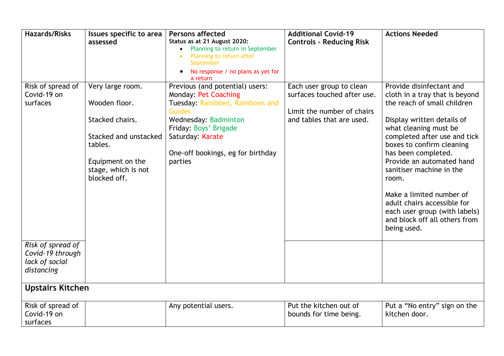| <b>Hazards/Risks</b>                                                  | Issues specific to area<br>assessed                                                                                                                 | <b>Persons affected</b><br>Status as at 21 August 2020:<br>Planning to return in September<br>Planning to return after<br>September<br>No response / no plans as yet for<br>a return                                                    | <b>Additional Covid-19</b><br><b>Controls - Reducing Risk</b>                                                      | <b>Actions Needed</b>                                                                                                                                                                                                                                                                                                                                                                                                                              |
|-----------------------------------------------------------------------|-----------------------------------------------------------------------------------------------------------------------------------------------------|-----------------------------------------------------------------------------------------------------------------------------------------------------------------------------------------------------------------------------------------|--------------------------------------------------------------------------------------------------------------------|----------------------------------------------------------------------------------------------------------------------------------------------------------------------------------------------------------------------------------------------------------------------------------------------------------------------------------------------------------------------------------------------------------------------------------------------------|
| Risk of spread of<br>Covid-19 on<br>surfaces                          | Very large room.<br>Wooden floor.<br>Stacked chairs.<br>Stacked and unstacked<br>tables.<br>Equipment on the<br>stage, which is not<br>blocked off. | Previous (and potential) users:<br><b>Monday: Pet Coaching</b><br>Tuesday: Rainbows, Rainbows and<br><b>Guides</b><br>Wednesday: Badminton<br>Friday: Boys' Brigade<br>Saturday: Karate<br>One-off bookings, eg for birthday<br>parties | Each user group to clean<br>surfaces touched after use.<br>Limit the number of chairs<br>and tables that are used. | Provide disinfectant and<br>cloth in a tray that is beyond<br>the reach of small children<br>Display written details of<br>what cleaning must be<br>completed after use and tick<br>boxes to confirm cleaning<br>has been completed.<br>Provide an automated hand<br>sanitiser machine in the<br>room.<br>Make a limited number of<br>adult chairs accessible for<br>each user group (with labels)<br>and block off all others from<br>being used. |
| Risk of spread of<br>Covid-19 through<br>lack of social<br>distancing |                                                                                                                                                     |                                                                                                                                                                                                                                         |                                                                                                                    |                                                                                                                                                                                                                                                                                                                                                                                                                                                    |
| <b>Upstairs Kitchen</b>                                               |                                                                                                                                                     |                                                                                                                                                                                                                                         |                                                                                                                    |                                                                                                                                                                                                                                                                                                                                                                                                                                                    |
| Risk of spread of<br>Covid-19 on<br>surfaces                          |                                                                                                                                                     | Any potential users.                                                                                                                                                                                                                    | Put the kitchen out of<br>bounds for time being.                                                                   | Put a "No entry" sign on the<br>kitchen door.                                                                                                                                                                                                                                                                                                                                                                                                      |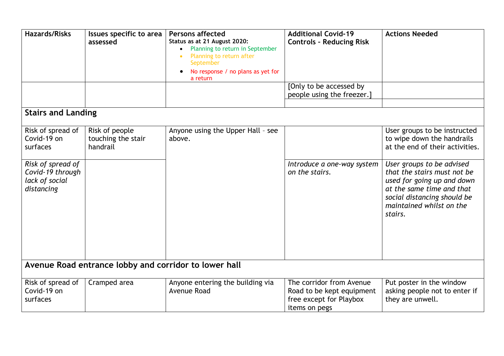| <b>Hazards/Risks</b>                                                  | Issues specific to area<br>assessed                   | <b>Persons affected</b><br>Status as at 21 August 2020:<br>Planning to return in September<br>Planning to return after<br>September<br>No response / no plans as yet for<br>a return | <b>Additional Covid-19</b><br><b>Controls - Reducing Risk</b><br>[Only to be accessed by          | <b>Actions Needed</b>                                                                                                                                                                     |
|-----------------------------------------------------------------------|-------------------------------------------------------|--------------------------------------------------------------------------------------------------------------------------------------------------------------------------------------|---------------------------------------------------------------------------------------------------|-------------------------------------------------------------------------------------------------------------------------------------------------------------------------------------------|
|                                                                       |                                                       |                                                                                                                                                                                      | people using the freezer.]                                                                        |                                                                                                                                                                                           |
| <b>Stairs and Landing</b>                                             |                                                       |                                                                                                                                                                                      |                                                                                                   |                                                                                                                                                                                           |
| Risk of spread of<br>Covid-19 on<br>surfaces                          | Risk of people<br>touching the stair<br>handrail      | Anyone using the Upper Hall - see<br>above.                                                                                                                                          |                                                                                                   | User groups to be instructed<br>to wipe down the handrails<br>at the end of their activities.                                                                                             |
| Risk of spread of<br>Covid-19 through<br>lack of social<br>distancing |                                                       |                                                                                                                                                                                      | Introduce a one-way system<br>on the stairs.                                                      | User groups to be advised<br>that the stairs must not be<br>used for going up and down<br>at the same time and that<br>social distancing should be<br>maintained whilst on the<br>stairs. |
|                                                                       | Avenue Road entrance lobby and corridor to lower hall |                                                                                                                                                                                      |                                                                                                   |                                                                                                                                                                                           |
| Risk of spread of<br>Covid-19 on<br>surfaces                          | Cramped area                                          | Anyone entering the building via<br>Avenue Road                                                                                                                                      | The corridor from Avenue<br>Road to be kept equipment<br>free except for Playbox<br>items on pegs | Put poster in the window<br>asking people not to enter if<br>they are unwell.                                                                                                             |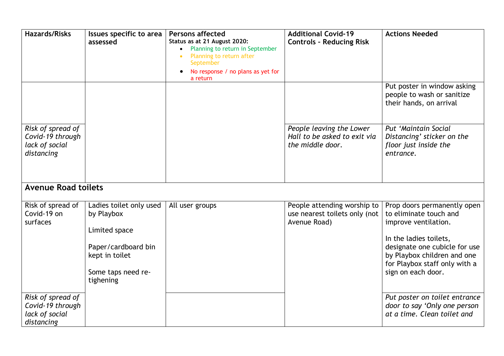| <b>Hazards/Risks</b>                                                  | Issues specific to area<br>assessed                                                                                                | <b>Persons affected</b><br>Status as at 21 August 2020:<br>Planning to return in September<br>Planning to return after<br>September<br>No response / no plans as yet for<br>a return | <b>Additional Covid-19</b><br><b>Controls - Reducing Risk</b>                | <b>Actions Needed</b>                                                                                                                                                                                                          |
|-----------------------------------------------------------------------|------------------------------------------------------------------------------------------------------------------------------------|--------------------------------------------------------------------------------------------------------------------------------------------------------------------------------------|------------------------------------------------------------------------------|--------------------------------------------------------------------------------------------------------------------------------------------------------------------------------------------------------------------------------|
|                                                                       |                                                                                                                                    |                                                                                                                                                                                      |                                                                              | Put poster in window asking<br>people to wash or sanitize<br>their hands, on arrival                                                                                                                                           |
| Risk of spread of<br>Covid-19 through<br>lack of social<br>distancing |                                                                                                                                    |                                                                                                                                                                                      | People leaving the Lower<br>Hall to be asked to exit via<br>the middle door. | Put 'Maintain Social<br>Distancing' sticker on the<br>floor just inside the<br>entrance.                                                                                                                                       |
| <b>Avenue Road toilets</b>                                            |                                                                                                                                    |                                                                                                                                                                                      |                                                                              |                                                                                                                                                                                                                                |
| Risk of spread of<br>Covid-19 on<br>surfaces                          | Ladies toilet only used<br>by Playbox<br>Limited space<br>Paper/cardboard bin<br>kept in toilet<br>Some taps need re-<br>tighening | All user groups                                                                                                                                                                      | People attending worship to<br>use nearest toilets only (not<br>Avenue Road) | Prop doors permanently open<br>to eliminate touch and<br>improve ventilation.<br>In the ladies toilets,<br>designate one cubicle for use<br>by Playbox children and one<br>for Playbox staff only with a<br>sign on each door. |
| Risk of spread of<br>Covid-19 through<br>lack of social<br>distancing |                                                                                                                                    |                                                                                                                                                                                      |                                                                              | Put poster on toilet entrance<br>door to say 'Only one person<br>at a time. Clean toilet and                                                                                                                                   |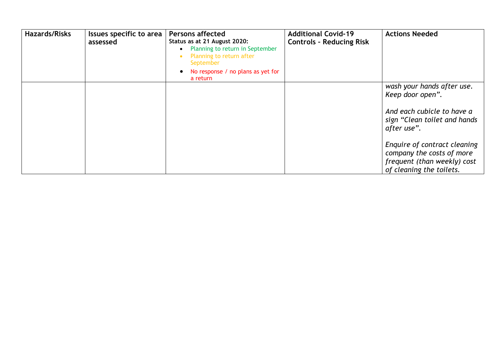| <b>Hazards/Risks</b> | Issues specific to area<br>assessed | <b>Persons affected</b><br>Status as at 21 August 2020:<br>Planning to return in September<br>Planning to return after<br>September<br>No response / no plans as yet for<br>a return | <b>Additional Covid-19</b><br><b>Controls - Reducing Risk</b> | <b>Actions Needed</b>                                                                                                                                                                                                                                |
|----------------------|-------------------------------------|--------------------------------------------------------------------------------------------------------------------------------------------------------------------------------------|---------------------------------------------------------------|------------------------------------------------------------------------------------------------------------------------------------------------------------------------------------------------------------------------------------------------------|
|                      |                                     |                                                                                                                                                                                      |                                                               | wash your hands after use.<br>Keep door open".<br>And each cubicle to have a<br>sign "Clean toilet and hands"<br>after use".<br>Enquire of contract cleaning<br>company the costs of more<br>frequent (than weekly) cost<br>of cleaning the toilets. |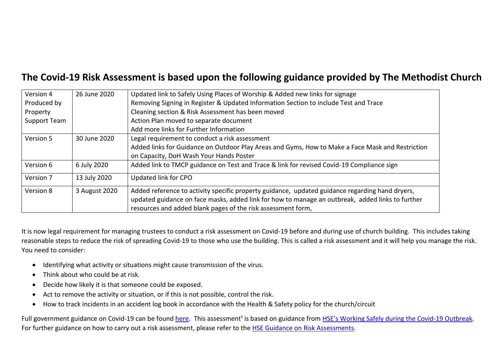# **The Covid-19 Risk Assessment is based upon the following guidance provided by The Methodist Church**

| Version 4           | 26 June 2020  | Updated link to Safely Using Places of Worship & Added new links for signage                     |
|---------------------|---------------|--------------------------------------------------------------------------------------------------|
| Produced by         |               | Removing Signing in Register & Updated Information Section to include Test and Trace             |
| Property            |               | Cleaning section & Risk Assessment has been moved                                                |
| <b>Support Team</b> |               | Action Plan moved to separate document                                                           |
|                     |               | Add more links for Further Information                                                           |
| Version 5           | 30 June 2020  | Legal requirement to conduct a risk assessment                                                   |
|                     |               | Added links for Guidance on Outdoor Play Areas and Gyms, How to Make a Face Mask and Restriction |
|                     |               | on Capacity, DoH Wash Your Hands Poster                                                          |
| Version 6           | 6 July 2020   | Added link to TMCP guidance on Test and Trace & link for revised Covid-19 Compliance sign        |
| Version 7           | 13 July 2020  | Updated link for CPO                                                                             |
| Version 8           | 3 August 2020 | Added reference to activity specific property guidance, updated guidance regarding hand dryers,  |
|                     |               | updated guidance on face masks, added link for how to manage an outbreak, added links to further |
|                     |               | resources and added blank pages of the risk assessment form,                                     |

It is now legal requirement for managing trustees to conduct a risk assessment on Covid-19 before and during use of church building. This includes taking reasonable steps to reduce the risk of spreading Covid-19 to those who use the building. This is called a risk assessment and it will help you manage the risk. You need to consider:

- Identifying what activity or situations might cause transmission of the virus.
- Think about who could be at risk.
- Decide how likely it is that someone could be exposed.
- Act to remove the activity or situation, or if this is not possible, control the risk.
- How to track incidents in an accident log book in accordance with the Health & Safety policy for the church/circuit

Full government guidance on Covid-19 can be found [here.](https://www.gov.uk/government/publications/covid-19-guidance-for-the-safe-use-of-places-of-worship-during-the-pandemic/covid-19-guidance-for-the-safe-use-of-places-of-worship-during-the-pandemic) This assessment<sup>1</sup> is based on guidance from [HSE's Working Safely during the Covid](https://www.hse.gov.uk/news/assets/docs/working-safely-guide.pdf)-19 Outbreak. For further guidance on how to carry out a risk assessment, please refer to the [HSE Guidance on Risk Assessments.](https://www.hse.gov.uk/simple-health-safety/risk/risk-assessment-template-and-examples.htm)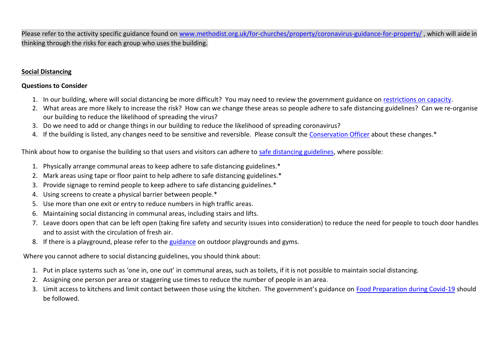Please refer to the activity specific guidance found on [www.methodist.org.uk/for-churches/property/coronavirus-guidance-for-property/](https://www.methodist.org.uk/for-churches/property/coronavirus-guidance-for-property/) , which will aide in thinking through the risks for each group who uses the building.

#### **Social Distancing**

## **Questions to Consider**

- 1. In our building, where will social distancing be more difficult? You may need to review the government guidance on [restrictions on capacity.](https://www.gov.uk/government/publications/covid-19-guidance-for-the-safe-use-of-places-of-worship-from-4-july/covid-19-guidance-for-the-safe-use-of-places-of-worship-from-4-july#general-actions-to-reduce-the-spread-of-infection)
- 2. What areas are more likely to increase the risk? How can we change these areas so people adhere to safe distancing guidelines? Can we re-organise our building to reduce the likelihood of spreading the virus?
- 3. Do we need to add or change things in our building to reduce the likelihood of spreading coronavirus?
- 4. If the building is listed, any changes need to be sensitive and reversible. Please consult the [Conservation Officer](mailto:conservation@methodistchurch.org.uk?subject=Social%20Distancing%20during%20Covid-19) about these changes.\*

Think about how to organise the building so that users and visitors can adhere to [safe distancing guidelines,](https://www.gov.uk/government/publications/coronavirus-outbreak-faqs-what-you-can-and-cant-do/coronavirus-outbreak-faqs-what-you-can-and-cant-do) where possible:

- 1. Physically arrange communal areas to keep adhere to safe distancing guidelines.\*
- 2. Mark areas using tape or floor paint to help adhere to safe distancing guidelines.\*
- 3. Provide signage to remind people to keep adhere to safe distancing guidelines.\*
- 4. Using screens to create a physical barrier between people.\*
- 5. Use more than one exit or entry to reduce numbers in high traffic areas.
- 6. Maintaining social distancing in communal areas, including stairs and lifts.
- 7. Leave doors open that can be left open (taking fire safety and security issues into consideration) to reduce the need for people to touch door handles and to assist with the circulation of fresh air.
- 8. If there is a playground, please refer to the [guidance](https://www.gov.uk/government/publications/covid-19-guidance-for-managing-playgrounds-and-outdoor-gyms/covid-19-guidance-for-managing-playgrounds-and-outdoor-gyms) on outdoor playgrounds and gyms.

Where you cannot adhere to social distancing guidelines, you should think about:

- 1. Put in place systems such as 'one in, one out' in communal areas, such as toilets, if it is not possible to maintain social distancing.
- 2. Assigning one person per area or staggering use times to reduce the number of people in an area.
- 3. Limit access to kitchens and limit contact between those using the kitchen. The government's guidance on [Food Preparation during Covid-19](https://www.gov.uk/government/publications/covid-19-guidance-for-food-businesses/guidance-for-food-businesses-on-coronavirus-covid-19) should be followed.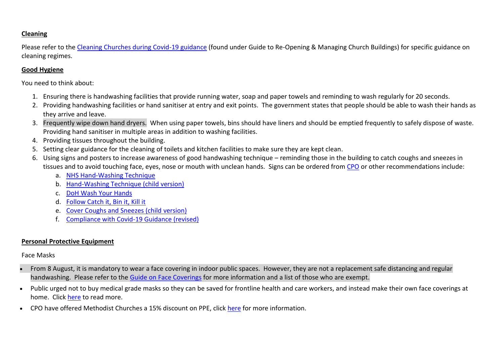## **Cleaning**

Please refer to the [Cleaning Churches during Covid-19 guidance](https://www.methodist.org.uk/for-churches/property/coronavirus-guidance-for-property/) (found under Guide to Re-Opening & Managing Church Buildings) for specific guidance on cleaning regimes.

#### **Good Hygiene**

You need to think about:

- 1. Ensuring there is handwashing facilities that provide running water, soap and paper towels and reminding to wash regularly for 20 seconds.
- 2. Providing handwashing facilities or hand sanitiser at entry and exit points. The government states that people should be able to wash their hands as they arrive and leave.
- 3. Frequently wipe down hand dryers. When using paper towels, bins should have liners and should be emptied frequently to safely dispose of waste. Providing hand sanitiser in multiple areas in addition to washing facilities.
- 4. Providing tissues throughout the building.
- 5. Setting clear guidance for the cleaning of toilets and kitchen facilities to make sure they are kept clean.
- 6. Using signs and posters to increase awareness of good handwashing technique reminding those in the building to catch coughs and sneezes in tissues and to avoid touching face, eyes, nose or mouth with unclean hands. Signs can be ordered from [CPO](http://www.cpo.org.uk/methodistppe) or other recommendations include:
	- a. [NHS Hand-Washing Technique](https://www.berkshirehealthcare.nhs.uk/media/33429304/nhs-hand-wasing-technique.pdf)
	- b. [Hand-Washing Technique \(child version\)](https://www.methodist.org.uk/media/17916/hand-hygiene-poster-2020.pdf)
	- c. [DoH Wash Your Hands](https://www.methodist.org.uk/media/17914/doh-handwash-poster-19-03-2020-3.pdf)
	- d. [Follow Catch it, Bin it, Kill it](https://www.england.nhs.uk/south/wp-content/uploads/sites/6/2017/09/catch-bin-kill.pdf)
	- e. [Cover Coughs and Sneezes \(child](https://www.methodist.org.uk/media/17915/respiratory-hygiene-poster-2020.pdf) version)
	- f. [Compliance with Covid-19 Guidance \(revised\)](https://assets.publishing.service.gov.uk/government/uploads/system/uploads/attachment_data/file/897765/staying-covid-19-secure-2020.pdf)

#### **Personal Protective Equipment**

#### Face Masks

- From 8 August, it is mandatory to wear a face covering in indoor public spaces. However, they are not a replacement safe distancing and regular handwashing. Please refer to the [Guide on Face Coverings](https://www.methodist.org.uk/for-churches/property/coronavirus-guidance-for-property/) for more information and a list of those who are exempt.
- Public urged not to buy medical grade masks so they can be saved for frontline health and care workers, and instead make their own face coverings at home. Click [here](https://www.gov.uk/government/publications/how-to-wear-and-make-a-cloth-face-covering/how-to-wear-and-make-a-cloth-face-covering) to read more.
- CPO have offered Methodist Churches a 15% discount on PPE, click [here](http://www.cpo.org.uk/methodistppe) for more information.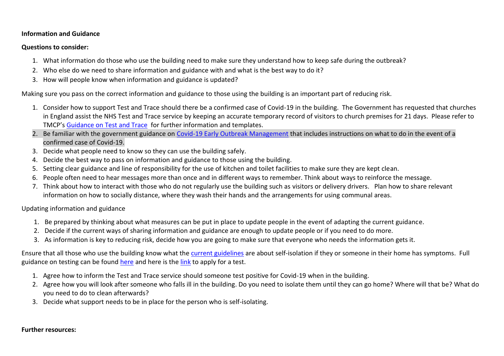#### **Information and Guidance**

#### **Questions to consider:**

- 1. What information do those who use the building need to make sure they understand how to keep safe during the outbreak?
- 2. Who else do we need to share information and guidance with and what is the best way to do it?
- 3. How will people know when information and guidance is updated?

Making sure you pass on the correct information and guidance to those using the building is an important part of reducing risk.

- 1. Consider how to support Test and Trace should there be a confirmed case of Covid-19 in the building. The Government has requested that churches in England assist th[e NHS Test and Trace service](https://www.gov.uk/government/news/government-launches-nhs-test-and-trace-service) by keeping an accurate temporary record of visitors to church premises for 21 days. Please refer to TMCP's [Guidance on Test and Trace](https://www.tmcp.org.uk/news-hub/new-test-and-trace-record-available) for further information and templates.
- 2. Be familiar with the government guidance on [Covid-19 Early Outbreak Management](https://www.gov.uk/government/publications/reporting-outbreaks-of-coronavirus-covid-19/covid-19-early-outbreak-management) that includes instructions on what to do in the event of a confirmed case of Covid-19.
- 3. Decide what people need to know so they can use the building safely.
- 4. Decide the best way to pass on information and guidance to those using the building.
- 5. Setting clear guidance and line of responsibility for the use of kitchen and toilet facilities to make sure they are kept clean.
- 6. People often need to hear messages more than once and in different ways to remember. Think about ways to reinforce the message.
- 7. Think about how to interact with those who do not regularly use the building such as visitors or delivery drivers. Plan how to share relevant information on how to socially distance, where they wash their hands and the arrangements for using communal areas.

Updating information and guidance

- 1. Be prepared by thinking about what measures can be put in place to update people in the event of adapting the current guidance.
- 2. Decide if the current ways of sharing information and guidance are enough to update people or if you need to do more.
- 3. As information is key to reducing risk, decide how you are going to make sure that everyone who needs the information gets it.

Ensure that all those who use the building know what the [current guidelines](https://www.gov.uk/government/publications/staying-alert-and-safe-social-distancing) are about self-isolation if they or someone in their home has symptoms. Full guidance on testing can be foun[d here](https://www.gov.uk/guidance/coronavirus-covid-19-getting-tested) and here is the [link](https://www.gov.uk/apply-coronavirus-test) to apply for a test.

- 1. Agree how to inform the Test and Trace service should someone test positive for Covid-19 when in the building.
- 2. Agree how you will look after someone who falls ill in the building. Do you need to isolate them until they can go home? Where will that be? What do you need to do to clean afterwards?
- 3. Decide what support needs to be in place for the person who is self-isolating.

#### **Further resources:**